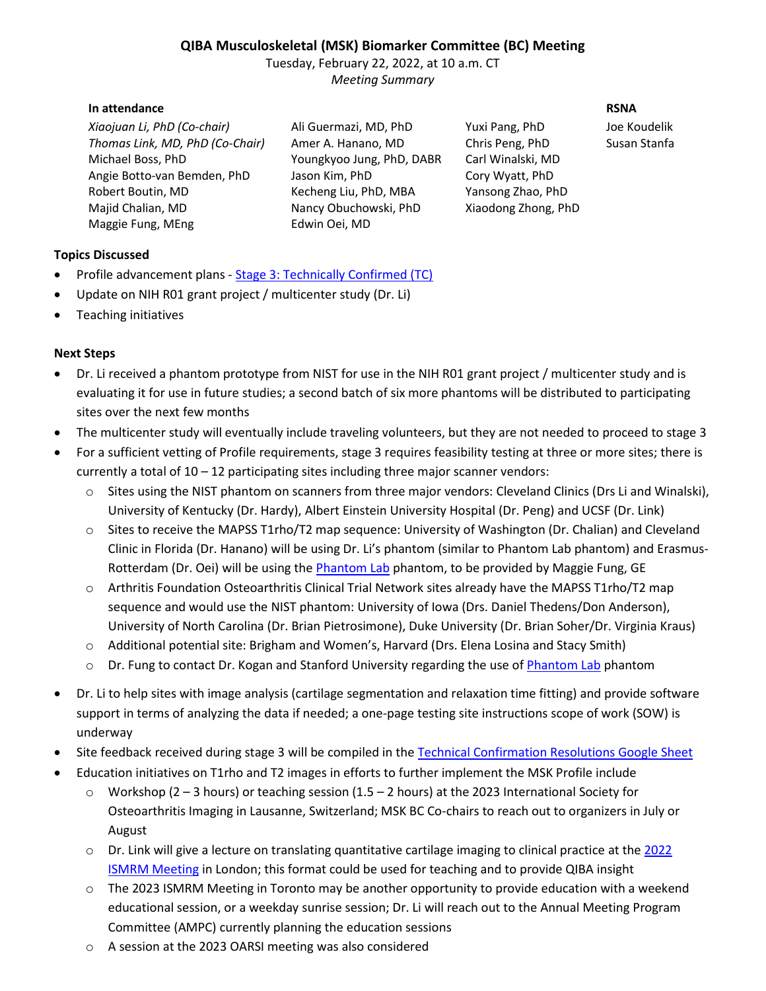# **QIBA Musculoskeletal (MSK) Biomarker Committee (BC) Meeting**

Tuesday, February 22, 2022, at 10 a.m. CT *Meeting Summary*

#### **In attendance RSNA**

*Xiaojuan Li, PhD (Co-chair)* Ali Guermazi, MD, PhD Yuxi Pang, PhD Joe Koudelik *Thomas Link, MD, PhD (Co-Chair)* Amer A. Hanano, MD Chris Peng, PhD Susan Stanfa Michael Boss, PhD Youngkyoo Jung, PhD, DABR Carl Winalski, MD Angie Botto-van Bemden, PhD Jason Kim, PhD Cory Wyatt, PhD Robert Boutin, MD Kecheng Liu, PhD, MBA Yansong Zhao, PhD Majid Chalian, MD Nancy Obuchowski, PhD Xiaodong Zhong, PhD Maggie Fung, MEng Fung Edwin Oei, MD

## **Topics Discussed**

- Profile advancement plans [Stage 3: Technically Confirmed \(TC\)](http://qibawiki.rsna.org/index.php/QIBA_Profile_Stages#Stage_3:_Technically_Confirmed)
- Update on NIH R01 grant project / multicenter study (Dr. Li)
- Teaching initiatives

# **Next Steps**

- Dr. Li received a phantom prototype from NIST for use in the NIH R01 grant project / multicenter study and is evaluating it for use in future studies; a second batch of six more phantoms will be distributed to participating sites over the next few months
- The multicenter study will eventually include traveling volunteers, but they are not needed to proceed to stage 3
- For a sufficient vetting of Profile requirements, stage 3 requires feasibility testing at three or more sites; there is currently a total of  $10 - 12$  participating sites including three major scanner vendors:
	- $\circ$  Sites using the NIST phantom on scanners from three major vendors: Cleveland Clinics (Drs Li and Winalski), University of Kentucky (Dr. Hardy), Albert Einstein University Hospital (Dr. Peng) and UCSF (Dr. Link)
	- o Sites to receive the MAPSS T1rho/T2 map sequence: University of Washington (Dr. Chalian) and Cleveland Clinic in Florida (Dr. Hanano) will be using Dr. Li's phantom (similar to Phantom Lab phantom) and Erasmus-Rotterdam (Dr. Oei) will be using th[e Phantom Lab](https://www.phantomlab.com/contact) phantom, to be provided by Maggie Fung, GE
	- o Arthritis Foundation Osteoarthritis Clinical Trial Network sites already have the MAPSS T1rho/T2 map sequence and would use the NIST phantom: University of Iowa (Drs. Daniel Thedens/Don Anderson), University of North Carolina (Dr. Brian Pietrosimone), Duke University (Dr. Brian Soher/Dr. Virginia Kraus)
	- o Additional potential site: Brigham and Women's, Harvard (Drs. Elena Losina and Stacy Smith)
	- $\circ$  Dr. Fung to contact Dr. Kogan and Stanford University regarding the use of [Phantom Lab](https://www.phantomlab.com/contact) phantom
- Dr. Li to help sites with image analysis (cartilage segmentation and relaxation time fitting) and provide software support in terms of analyzing the data if needed; a one-page testing site instructions scope of work (SOW) is underway
- Site feedback received during stage 3 will be compiled in the [Technical Confirmation Resolutions Google Sheet](https://docs.google.com/spreadsheets/d/1JW-_iJ7vTJvCf1-y4wsxZ_coO8Po2zWqMNDNrBVyUXM/edit?usp=sharing)
- Education initiatives on T1rho and T2 images in efforts to further implement the MSK Profile include
	- Workshop (2 3 hours) or teaching session (1.5 2 hours) at the 2023 International Society for Osteoarthritis Imaging in Lausanne, Switzerland; MSK BC Co-chairs to reach out to organizers in July or August
	- o Dr. Link will give a lecture on translating quantitative cartilage imaging to clinical practice at the [2022](https://www.ismrm.org/22m/)  [ISMRM Meeting](https://www.ismrm.org/22m/) in London; this format could be used for teaching and to provide QIBA insight
	- $\circ$  The 2023 ISMRM Meeting in Toronto may be another opportunity to provide education with a weekend educational session, or a weekday sunrise session; Dr. Li will reach out to the Annual Meeting Program Committee (AMPC) currently planning the education sessions
	- o A session at the 2023 OARSI meeting was also considered